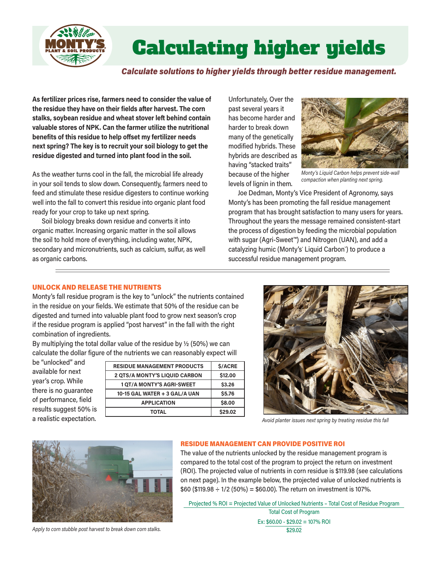

# ® ® Calculating higher yields

*Calculate solutions to higher yields through better residue management.*

**As fertilizer prices rise, farmers need to consider the value of the residue they have on their fields after harvest. The corn stalks, soybean residue and wheat stover left behind contain valuable stores of NPK. Can the farmer utilize the nutritional benefits of this residue to help offset my fertilizer needs next spring? The key is to recruit your soil biology to get the residue digested and turned into plant food in the soil.**

As the weather turns cool in the fall, the microbial life already in your soil tends to slow down. Consequently, farmers need to feed and stimulate these residue digesters to continue working well into the fall to convert this residue into organic plant food ready for your crop to take up next spring.

Soil biology breaks down residue and converts it into organic matter. Increasing organic matter in the soil allows the soil to hold more of everything, including water, NPK, secondary and micronutrients, such as calcium, sulfur, as well as organic carbons.

Unfortunately, Over the past several years it has become harder and harder to break down many of the genetically modified hybrids. These hybrids are described as having "stacked traits" because of the higher levels of lignin in them.



*Monty's Liquid Carbon helps prevent side-wall compaction when planting next spring.*

Joe Dedman, Monty's Vice President of Agronomy, says Monty's has been promoting the fall residue management program that has brought satisfaction to many users for years. Throughout the years the message remained consistent-start the process of digestion by feeding the microbial population with sugar (Agri-Sweet™) and Nitrogen (UAN), and add a catalyzing humic (Monty's° Liquid Carbon¨) to produce a successful residue management program.

### UNLOCK AND RELEASE THE NUTRIENTS

Monty's fall residue program is the key to "unlock" the nutrients contained in the residue on your fields. We estimate that 50% of the residue can be digested and turned into valuable plant food to grow next season's crop if the residue program is applied "post harvest" in the fall with the right combination of ingredients.

By multiplying the total dollar value of the residue by ½ (50%) we can calculate the dollar figure of the nutrients we can reasonably expect will

be "unlocked" and available for next year's crop. While there is no guarantee of performance, field results suggest 50% is a realistic expectation.

| <b>RESIDUE MANAGEMENT PRODUCTS</b>   | <b>S/ACRE</b> |
|--------------------------------------|---------------|
| <b>2 QTS/A MONTY'S LIQUID CARBON</b> | \$12,00       |
| <b>1 QT/A MONTY'S AGRI-SWEET</b>     | \$3.26        |
| 10-15 GAL WATER + 3 GAL/A UAN        | <b>\$5.76</b> |
| <b>APPLICATION</b>                   | \$8,00        |
| TOTAL                                | \$29.02       |



*Avoid planter issues next spring by treating residue this fall*



*Apply to corn stubble post harvest to break down corn stalks.*

### RESIDUE MANAGEMENT CAN PROVIDE POSITIVE ROI

The value of the nutrients unlocked by the residue management program is compared to the total cost of the program to project the return on investment (ROI). The projected value of nutrients in corn residue is \$119.98 (see calculations on next page). In the example below, the projected value of unlocked nutrients is  $$60$  (\$119.98  $\div$  1/2 (50%) = \$60.00). The return on investment is 107%.

Projected % ROI = Projected Value of Unlocked Nutrients – Total Cost of Residue Program

Total Cost of Program Ex: \$60.00 - \$29.02 = 107% ROI \$29.02